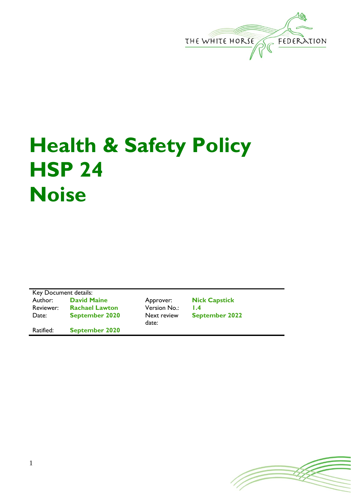

## **Health & Safety Policy HSP 24 Noise**

Key Document details:<br>Author: David Maine Approver: **Nick Capstick** Reviewer: **Rachael Lawton** Version No.: **1.4** Date: **September 2020** Next review date: **September 2022** Ratified: **September 2020**

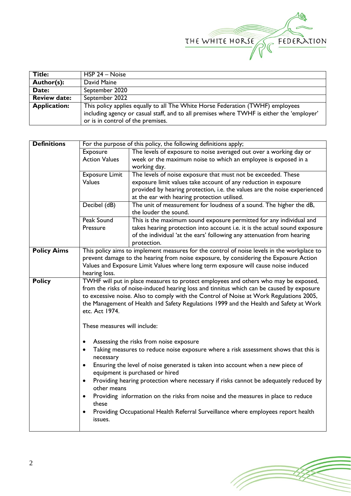

| <b>Title:</b>       | HSP 24 – Noise                                                                            |
|---------------------|-------------------------------------------------------------------------------------------|
| Author(s):          | David Maine                                                                               |
| Date:               | September 2020                                                                            |
| <b>Review date:</b> | September 2022                                                                            |
| <b>Application:</b> | This policy applies equally to all The White Horse Federation (TWHF) employees            |
|                     | including agency or casual staff, and to all premises where TWHF is either the 'employer' |
|                     | or is in control of the premises.                                                         |

| <b>Definitions</b> | For the purpose of this policy, the following definitions apply;                                 |                                                                                           |  |  |  |  |
|--------------------|--------------------------------------------------------------------------------------------------|-------------------------------------------------------------------------------------------|--|--|--|--|
|                    | Exposure<br>The levels of exposure to noise averaged out over a working day or                   |                                                                                           |  |  |  |  |
|                    | <b>Action Values</b>                                                                             | week or the maximum noise to which an employee is exposed in a                            |  |  |  |  |
|                    |                                                                                                  | working day.                                                                              |  |  |  |  |
|                    | <b>Exposure Limit</b>                                                                            | The levels of noise exposure that must not be exceeded. These                             |  |  |  |  |
|                    | <b>Values</b>                                                                                    | exposure limit values take account of any reduction in exposure                           |  |  |  |  |
|                    |                                                                                                  | provided by hearing protection, i.e. the values are the noise experienced                 |  |  |  |  |
|                    |                                                                                                  | at the ear with hearing protection utilised.                                              |  |  |  |  |
|                    | Decibel (dB)                                                                                     | The unit of measurement for loudness of a sound. The higher the dB,                       |  |  |  |  |
|                    |                                                                                                  | the louder the sound.                                                                     |  |  |  |  |
|                    | Peak Sound                                                                                       | This is the maximum sound exposure permitted for any individual and                       |  |  |  |  |
|                    | Pressure                                                                                         | takes hearing protection into account i.e. it is the actual sound exposure                |  |  |  |  |
|                    |                                                                                                  | of the individual 'at the ears' following any attenuation from hearing                    |  |  |  |  |
|                    |                                                                                                  | protection.                                                                               |  |  |  |  |
| <b>Policy Aims</b> | This policy aims to implement measures for the control of noise levels in the workplace to       |                                                                                           |  |  |  |  |
|                    | prevent damage to the hearing from noise exposure, by considering the Exposure Action            |                                                                                           |  |  |  |  |
|                    | Values and Exposure Limit Values where long term exposure will cause noise induced               |                                                                                           |  |  |  |  |
|                    | hearing loss.                                                                                    |                                                                                           |  |  |  |  |
| <b>Policy</b>      |                                                                                                  | TWHF will put in place measures to protect employees and others who may be exposed,       |  |  |  |  |
|                    |                                                                                                  | from the risks of noise-induced hearing loss and tinnitus which can be caused by exposure |  |  |  |  |
|                    |                                                                                                  | to excessive noise. Also to comply with the Control of Noise at Work Regulations 2005,    |  |  |  |  |
|                    | the Management of Health and Safety Regulations 1999 and the Health and Safety at Work           |                                                                                           |  |  |  |  |
|                    | etc. Act 1974.                                                                                   |                                                                                           |  |  |  |  |
|                    |                                                                                                  |                                                                                           |  |  |  |  |
|                    | These measures will include:                                                                     |                                                                                           |  |  |  |  |
|                    | Assessing the risks from noise exposure<br>٠                                                     |                                                                                           |  |  |  |  |
|                    | Taking measures to reduce noise exposure where a risk assessment shows that this is<br>$\bullet$ |                                                                                           |  |  |  |  |
|                    | necessary                                                                                        |                                                                                           |  |  |  |  |
|                    | Ensuring the level of noise generated is taken into account when a new piece of<br>$\bullet$     |                                                                                           |  |  |  |  |
|                    | equipment is purchased or hired                                                                  |                                                                                           |  |  |  |  |
|                    | $\bullet$                                                                                        | Providing hearing protection where necessary if risks cannot be adequately reduced by     |  |  |  |  |
|                    | other means                                                                                      |                                                                                           |  |  |  |  |
|                    | $\bullet$                                                                                        | Providing information on the risks from noise and the measures in place to reduce         |  |  |  |  |
|                    | these                                                                                            |                                                                                           |  |  |  |  |
|                    | ٠                                                                                                | Providing Occupational Health Referral Surveillance where employees report health         |  |  |  |  |
|                    | issues.                                                                                          |                                                                                           |  |  |  |  |
|                    |                                                                                                  |                                                                                           |  |  |  |  |

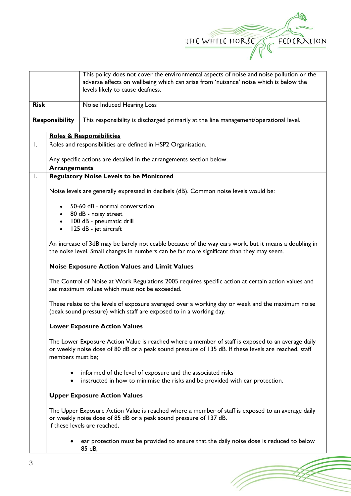

(Topon

|                |                                                              | This policy does not cover the environmental aspects of noise and noise pollution or the             |  |  |
|----------------|--------------------------------------------------------------|------------------------------------------------------------------------------------------------------|--|--|
|                |                                                              | adverse effects on wellbeing which can arise from 'nuisance' noise which is below the                |  |  |
|                |                                                              | levels likely to cause deafness.                                                                     |  |  |
|                |                                                              |                                                                                                      |  |  |
| <b>Risk</b>    |                                                              | Noise Induced Hearing Loss                                                                           |  |  |
|                | <b>Responsibility</b>                                        | This responsibility is discharged primarily at the line management/operational level.                |  |  |
|                |                                                              |                                                                                                      |  |  |
|                |                                                              | <b>Roles &amp; Responsibilities</b>                                                                  |  |  |
| $\mathsf{I}$ . | Roles and responsibilities are defined in HSP2 Organisation. |                                                                                                      |  |  |
|                |                                                              |                                                                                                      |  |  |
|                |                                                              | Any specific actions are detailed in the arrangements section below.                                 |  |  |
|                | <b>Arrangements</b>                                          |                                                                                                      |  |  |
| $\mathbf{I}$ . |                                                              | <b>Regulatory Noise Levels to be Monitored</b>                                                       |  |  |
|                |                                                              |                                                                                                      |  |  |
|                |                                                              | Noise levels are generally expressed in decibels (dB). Common noise levels would be:                 |  |  |
|                |                                                              | 50-60 dB - normal conversation                                                                       |  |  |
|                |                                                              | • 80 dB - noisy street                                                                               |  |  |
|                |                                                              | • 100 dB - pneumatic drill                                                                           |  |  |
|                |                                                              | 125 dB - jet aircraft                                                                                |  |  |
|                |                                                              |                                                                                                      |  |  |
|                |                                                              | An increase of 3dB may be barely noticeable because of the way ears work, but it means a doubling in |  |  |
|                |                                                              | the noise level. Small changes in numbers can be far more significant than they may seem.            |  |  |
|                |                                                              |                                                                                                      |  |  |
|                |                                                              | <b>Noise Exposure Action Values and Limit Values</b>                                                 |  |  |
|                |                                                              | The Control of Noise at Work Regulations 2005 requires specific action at certain action values and  |  |  |
|                |                                                              | set maximum values which must not be exceeded.                                                       |  |  |
|                |                                                              |                                                                                                      |  |  |
|                |                                                              | These relate to the levels of exposure averaged over a working day or week and the maximum noise     |  |  |
|                |                                                              | (peak sound pressure) which staff are exposed to in a working day.                                   |  |  |
|                |                                                              |                                                                                                      |  |  |
|                |                                                              | <b>Lower Exposure Action Values</b>                                                                  |  |  |
|                |                                                              |                                                                                                      |  |  |
|                |                                                              | The Lower Exposure Action Value is reached where a member of staff is exposed to an average daily    |  |  |
|                |                                                              | or weekly noise dose of 80 dB or a peak sound pressure of 135 dB. If these levels are reached, staff |  |  |
|                | members must be;                                             |                                                                                                      |  |  |
|                |                                                              |                                                                                                      |  |  |
|                | $\bullet$                                                    | informed of the level of exposure and the associated risks                                           |  |  |
|                | $\bullet$                                                    | instructed in how to minimise the risks and be provided with ear protection.                         |  |  |
|                |                                                              | <b>Upper Exposure Action Values</b>                                                                  |  |  |
|                |                                                              |                                                                                                      |  |  |
|                |                                                              | The Upper Exposure Action Value is reached where a member of staff is exposed to an average daily    |  |  |
|                |                                                              | or weekly noise dose of 85 dB or a peak sound pressure of 137 dB.                                    |  |  |
|                |                                                              | If these levels are reached,                                                                         |  |  |
|                |                                                              |                                                                                                      |  |  |
|                |                                                              | ear protection must be provided to ensure that the daily noise dose is reduced to below              |  |  |
|                |                                                              | 85 dB,                                                                                               |  |  |
|                |                                                              |                                                                                                      |  |  |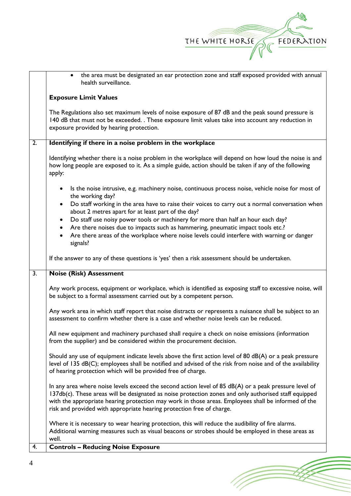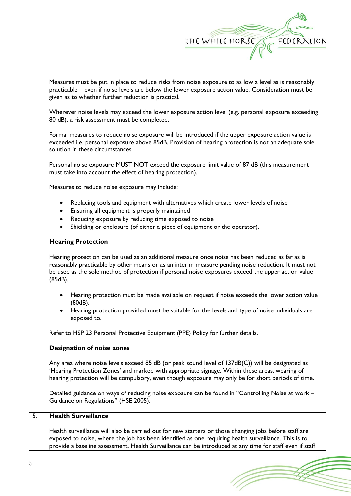

Measures must be put in place to reduce risks from noise exposure to as low a level as is reasonably practicable – even if noise levels are below the lower exposure action value. Consideration must be given as to whether further reduction is practical.

Wherever noise levels may exceed the lower exposure action level (e.g. personal exposure exceeding 80 dB), a risk assessment must be completed.

Formal measures to reduce noise exposure will be introduced if the upper exposure action value is exceeded i.e. personal exposure above 85dB. Provision of hearing protection is not an adequate sole solution in these circumstances.

Personal noise exposure MUST NOT exceed the exposure limit value of 87 dB (this measurement must take into account the effect of hearing protection).

Measures to reduce noise exposure may include:

- Replacing tools and equipment with alternatives which create lower levels of noise
- Ensuring all equipment is properly maintained
- Reducing exposure by reducing time exposed to noise
- Shielding or enclosure (of either a piece of equipment or the operator).

## **Hearing Protection**

Hearing protection can be used as an additional measure once noise has been reduced as far as is reasonably practicable by other means or as an interim measure pending noise reduction. It must not be used as the sole method of protection if personal noise exposures exceed the upper action value (85dB).

- Hearing protection must be made available on request if noise exceeds the lower action value (80dB).
- Hearing protection provided must be suitable for the levels and type of noise individuals are exposed to.

Refer to HSP 23 Personal Protective Equipment (PPE) Policy for further details.

## **Designation of noise zones**

Any area where noise levels exceed 85 dB (or peak sound level of 137dB(C)) will be designated as 'Hearing Protection Zones' and marked with appropriate signage. Within these areas, wearing of hearing protection will be compulsory, even though exposure may only be for short periods of time.

Detailed guidance on ways of reducing noise exposure can be found in "Controlling Noise at work – Guidance on Regulations" (HSE 2005).

## 5. **Health Surveillance**

Health surveillance will also be carried out for new starters or those changing jobs before staff are exposed to noise, where the job has been identified as one requiring health surveillance. This is to provide a baseline assessment. Health Surveillance can be introduced at any time for staff even if staff